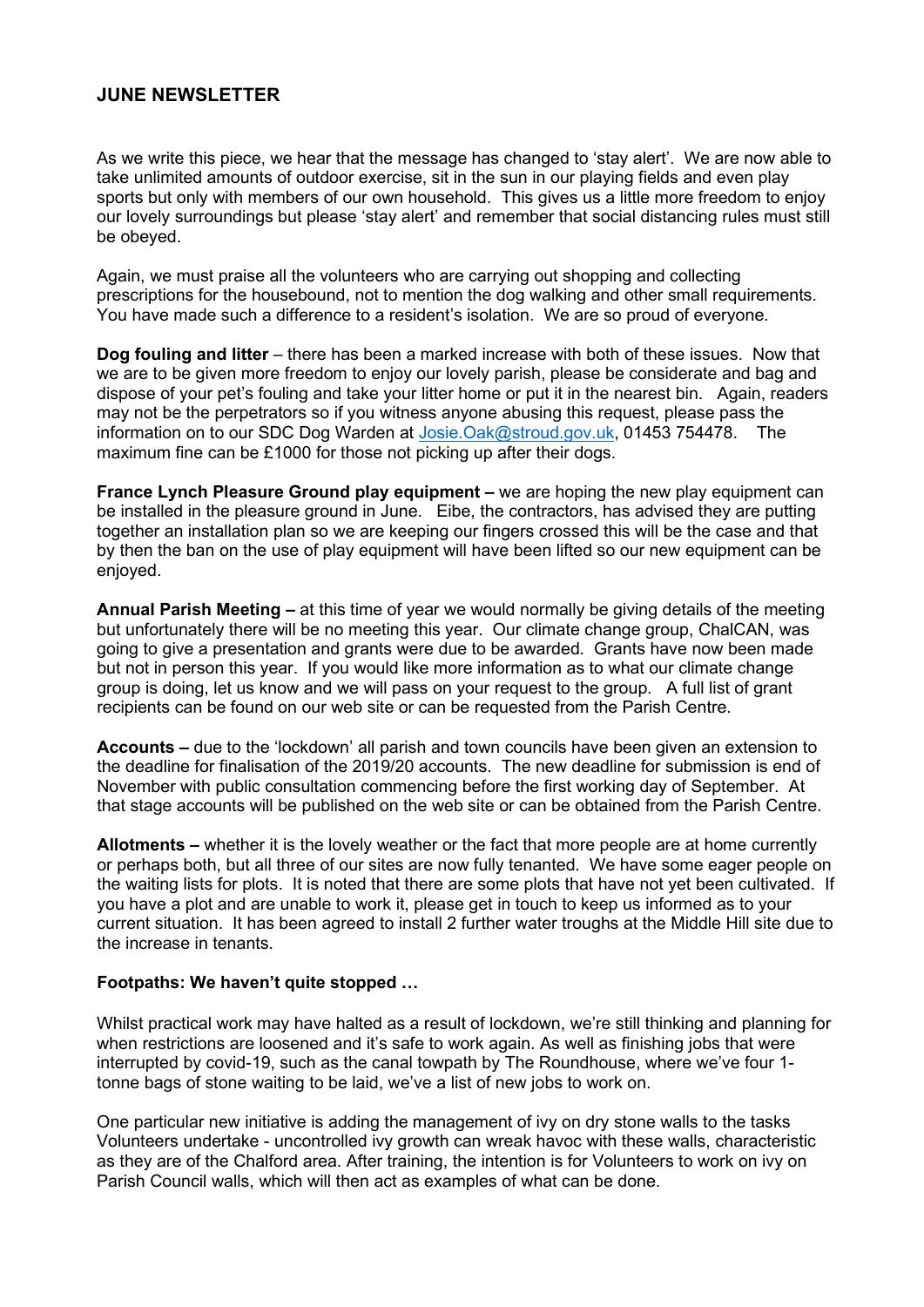## **JUNE NEWSLETTER**

As we write this piece, we hear that the message has changed to 'stay alert'. We are now able to take unlimited amounts of outdoor exercise, sit in the sun in our playing fields and even play sports but only with members of our own household. This gives us a little more freedom to enjoy our lovely surroundings but please 'stay alert' and remember that social distancing rules must still be obeyed.

Again, we must praise all the volunteers who are carrying out shopping and collecting prescriptions for the housebound, not to mention the dog walking and other small requirements. You have made such a difference to a resident's isolation. We are so proud of everyone.

**Dog fouling and litter** – there has been a marked increase with both of these issues. Now that we are to be given more freedom to enjoy our lovely parish, please be considerate and bag and dispose of your pet's fouling and take your litter home or put it in the nearest bin. Again, readers may not be the perpetrators so if you witness anyone abusing this request, please pass the information on to our SDC Dog Warden at [Josie.Oak@stroud.gov.uk,](mailto:Josie.Oak@stroud.gov.uk) 01453 754478. The maximum fine can be £1000 for those not picking up after their dogs.

**France Lynch Pleasure Ground play equipment –** we are hoping the new play equipment can be installed in the pleasure ground in June. Eibe, the contractors, has advised they are putting together an installation plan so we are keeping our fingers crossed this will be the case and that by then the ban on the use of play equipment will have been lifted so our new equipment can be enjoyed.

**Annual Parish Meeting –** at this time of year we would normally be giving details of the meeting but unfortunately there will be no meeting this year. Our climate change group, ChalCAN, was going to give a presentation and grants were due to be awarded. Grants have now been made but not in person this year. If you would like more information as to what our climate change group is doing, let us know and we will pass on your request to the group. A full list of grant recipients can be found on our web site or can be requested from the Parish Centre.

**Accounts –** due to the 'lockdown' all parish and town councils have been given an extension to the deadline for finalisation of the 2019/20 accounts. The new deadline for submission is end of November with public consultation commencing before the first working day of September. At that stage accounts will be published on the web site or can be obtained from the Parish Centre.

**Allotments –** whether it is the lovely weather or the fact that more people are at home currently or perhaps both, but all three of our sites are now fully tenanted. We have some eager people on the waiting lists for plots. It is noted that there are some plots that have not yet been cultivated. If you have a plot and are unable to work it, please get in touch to keep us informed as to your current situation. It has been agreed to install 2 further water troughs at the Middle Hill site due to the increase in tenants.

## **Footpaths: We haven't quite stopped …**

Whilst practical work may have halted as a result of lockdown, we're still thinking and planning for when restrictions are loosened and it's safe to work again. As well as finishing jobs that were interrupted by covid-19, such as the canal towpath by The Roundhouse, where we've four 1 tonne bags of stone waiting to be laid, we've a list of new jobs to work on.

One particular new initiative is adding the management of ivy on dry stone walls to the tasks Volunteers undertake - uncontrolled ivy growth can wreak havoc with these walls, characteristic as they are of the Chalford area. After training, the intention is for Volunteers to work on ivy on Parish Council walls, which will then act as examples of what can be done.